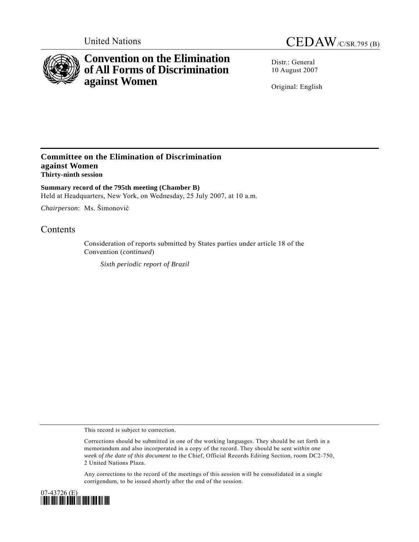

# **Convention on the Elimination of All Forms of Discrimination against Women**



Distr.: General 10 August 2007

Original: English

### **Committee on the Elimination of Discrimination against Women Thirty-ninth session**

**Summary record of the 795th meeting (Chamber B)**  Held at Headquarters, New York, on Wednesday, 25 July 2007, at 10 a.m.

*Chairperson*: Ms. Šimonović

## **Contents**

Consideration of reports submitted by States parties under article 18 of the Convention (*continued*)

*Sixth periodic report of Brazil* 

This record is subject to correction.

Corrections should be submitted in one of the working languages. They should be set forth in a memorandum and also incorporated in a copy of the record. They should be sent *within one week of the date of this document* to the Chief, Official Records Editing Section, room DC2-750, 2 United Nations Plaza.

Any corrections to the record of the meetings of this session will be consolidated in a single corrigendum, to be issued shortly after the end of the session.

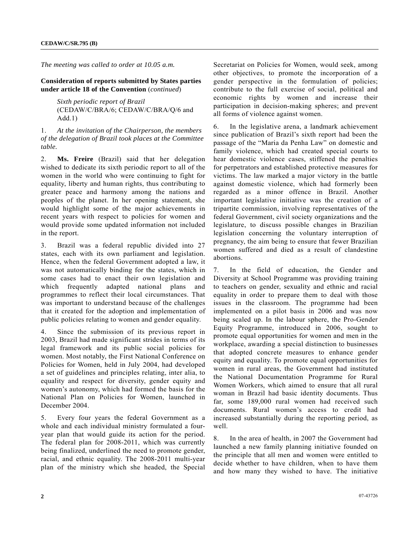*The meeting was called to order at 10.05 a.m.* 

**Consideration of reports submitted by States parties under article 18 of the Convention** (*continued*)

> *Sixth periodic report of Brazil*  (CEDAW/C/BRA/6; CEDAW/C/BRA/Q/6 and Add.1)

1. *At the invitation of the Chairperson, the members of the delegation of Brazil took places at the Committee table.* 

2. **Ms. Freire** (Brazil) said that her delegation wished to dedicate its sixth periodic report to all of the women in the world who were continuing to fight for equality, liberty and human rights, thus contributing to greater peace and harmony among the nations and peoples of the planet. In her opening statement, she would highlight some of the major achievements in recent years with respect to policies for women and would provide some updated information not included in the report.

3. Brazil was a federal republic divided into 27 states, each with its own parliament and legislation. Hence, when the federal Government adopted a law, it was not automatically binding for the states, which in some cases had to enact their own legislation and which frequently adapted national plans and programmes to reflect their local circumstances. That was important to understand because of the challenges that it created for the adoption and implementation of public policies relating to women and gender equality.

4. Since the submission of its previous report in 2003, Brazil had made significant strides in terms of its legal framework and its public social policies for women. Most notably, the First National Conference on Policies for Women, held in July 2004, had developed a set of guidelines and principles relating, inter alia, to equality and respect for diversity, gender equity and women's autonomy, which had formed the basis for the National Plan on Policies for Women, launched in December 2004.

5. Every four years the federal Government as a whole and each individual ministry formulated a fouryear plan that would guide its action for the period. The federal plan for 2008-2011, which was currently being finalized, underlined the need to promote gender, racial, and ethnic equality. The 2008-2011 multi-year plan of the ministry which she headed, the Special Secretariat on Policies for Women, would seek, among other objectives, to promote the incorporation of a gender perspective in the formulation of policies; contribute to the full exercise of social, political and economic rights by women and increase their participation in decision-making spheres; and prevent all forms of violence against women.

6. In the legislative arena, a landmark achievement since publication of Brazil's sixth report had been the passage of the "Maria da Penha Law" on domestic and family violence, which had created special courts to hear domestic violence cases, stiffened the penalties for perpetrators and established protective measures for victims. The law marked a major victory in the battle against domestic violence, which had formerly been regarded as a minor offence in Brazil. Another important legislative initiative was the creation of a tripartite commission, involving representatives of the federal Government, civil society organizations and the legislature, to discuss possible changes in Brazilian legislation concerning the voluntary interruption of pregnancy, the aim being to ensure that fewer Brazilian women suffered and died as a result of clandestine abortions.

7. In the field of education, the Gender and Diversity at School Programme was providing training to teachers on gender, sexuality and ethnic and racial equality in order to prepare them to deal with those issues in the classroom. The programme had been implemented on a pilot basis in 2006 and was now being scaled up. In the labour sphere, the Pro-Gender Equity Programme, introduced in 2006, sought to promote equal opportunities for women and men in the workplace, awarding a special distinction to businesses that adopted concrete measures to enhance gender equity and equality. To promote equal opportunities for women in rural areas, the Government had instituted the National Documentation Programme for Rural Women Workers, which aimed to ensure that all rural woman in Brazil had basic identity documents. Thus far, some 189,000 rural women had received such documents. Rural women's access to credit had increased substantially during the reporting period, as well.

8. In the area of health, in 2007 the Government had launched a new family planning initiative founded on the principle that all men and women were entitled to decide whether to have children, when to have them and how many they wished to have. The initiative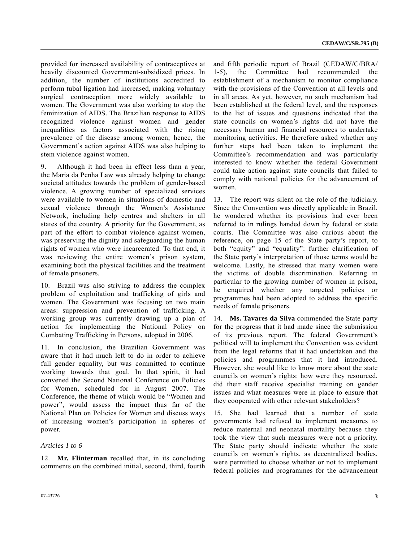provided for increased availability of contraceptives at heavily discounted Government-subsidized prices. In addition, the number of institutions accredited to perform tubal ligation had increased, making voluntary surgical contraception more widely available to women. The Government was also working to stop the feminization of AIDS. The Brazilian response to AIDS recognized violence against women and gender inequalities as factors associated with the rising prevalence of the disease among women; hence, the Government's action against AIDS was also helping to stem violence against women.

9. Although it had been in effect less than a year, the Maria da Penha Law was already helping to change societal attitudes towards the problem of gender-based violence. A growing number of specialized services were available to women in situations of domestic and sexual violence through the Women's Assistance Network, including help centres and shelters in all states of the country. A priority for the Government, as part of the effort to combat violence against women, was preserving the dignity and safeguarding the human rights of women who were incarcerated. To that end, it was reviewing the entire women's prison system, examining both the physical facilities and the treatment of female prisoners.

10. Brazil was also striving to address the complex problem of exploitation and trafficking of girls and women. The Government was focusing on two main areas: suppression and prevention of trafficking. A working group was currently drawing up a plan of action for implementing the National Policy on Combating Trafficking in Persons, adopted in 2006.

11. In conclusion, the Brazilian Government was aware that it had much left to do in order to achieve full gender equality, but was committed to continue working towards that goal. In that spirit, it had convened the Second National Conference on Policies for Women, scheduled for in August 2007. The Conference, the theme of which would be "Women and power", would assess the impact thus far of the National Plan on Policies for Women and discuss ways of increasing women's participation in spheres of power.

### *Articles 1 to 6*

12. **Mr. Flinterman** recalled that, in its concluding comments on the combined initial, second, third, fourth

and fifth periodic report of Brazil (CEDAW/C/BRA/ 1-5), the Committee had recommended the establishment of a mechanism to monitor compliance with the provisions of the Convention at all levels and in all areas. As yet, however, no such mechanism had been established at the federal level, and the responses to the list of issues and questions indicated that the state councils on women's rights did not have the necessary human and financial resources to undertake monitoring activities. He therefore asked whether any further steps had been taken to implement the Committee's recommendation and was particularly interested to know whether the federal Government could take action against state councils that failed to comply with national policies for the advancement of women.

13. The report was silent on the role of the judiciary. Since the Convention was directly applicable in Brazil, he wondered whether its provisions had ever been referred to in rulings handed down by federal or state courts. The Committee was also curious about the reference, on page 15 of the State party's report, to both "equity" and "equality": further clarification of the State party's interpretation of those terms would be welcome. Lastly, he stressed that many women were the victims of double discrimination. Referring in particular to the growing number of women in prison, he enquired whether any targeted policies or programmes had been adopted to address the specific needs of female prisoners.

14. **Ms. Tavares da Silva** commended the State party for the progress that it had made since the submission of its previous report. The federal Government's political will to implement the Convention was evident from the legal reforms that it had undertaken and the policies and programmes that it had introduced. However, she would like to know more about the state councils on women's rights: how were they resourced, did their staff receive specialist training on gender issues and what measures were in place to ensure that they cooperated with other relevant stakeholders?

15. She had learned that a number of state governments had refused to implement measures to reduce maternal and neonatal mortality because they took the view that such measures were not a priority. The State party should indicate whether the state councils on women's rights, as decentralized bodies, were permitted to choose whether or not to implement federal policies and programmes for the advancement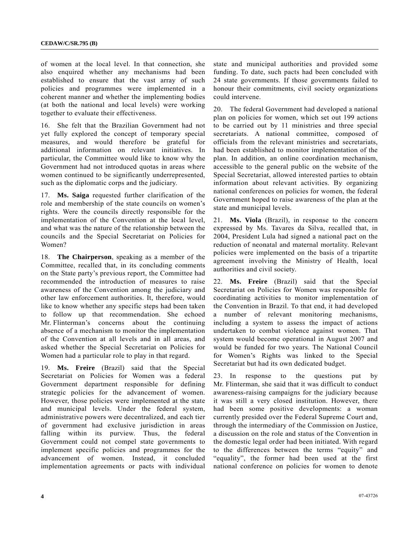of women at the local level. In that connection, she also enquired whether any mechanisms had been established to ensure that the vast array of such policies and programmes were implemented in a coherent manner and whether the implementing bodies (at both the national and local levels) were working together to evaluate their effectiveness.

16. She felt that the Brazilian Government had not yet fully explored the concept of temporary special measures, and would therefore be grateful for additional information on relevant initiatives. In particular, the Committee would like to know why the Government had not introduced quotas in areas where women continued to be significantly underrepresented, such as the diplomatic corps and the judiciary.

17. **Ms. Saiga** requested further clarification of the role and membership of the state councils on women's rights. Were the councils directly responsible for the implementation of the Convention at the local level, and what was the nature of the relationship between the councils and the Special Secretariat on Policies for Women?

18. **The Chairperson**, speaking as a member of the Committee, recalled that, in its concluding comments on the State party's previous report, the Committee had recommended the introduction of measures to raise awareness of the Convention among the judiciary and other law enforcement authorities. It, therefore, would like to know whether any specific steps had been taken to follow up that recommendation. She echoed Mr. Flinterman's concerns about the continuing absence of a mechanism to monitor the implementation of the Convention at all levels and in all areas, and asked whether the Special Secretariat on Policies for Women had a particular role to play in that regard.

19. **Ms. Freire** (Brazil) said that the Special Secretariat on Policies for Women was a federal Government department responsible for defining strategic policies for the advancement of women. However, those policies were implemented at the state and municipal levels. Under the federal system, administrative powers were decentralized, and each tier of government had exclusive jurisdiction in areas falling within its purview. Thus, the federal Government could not compel state governments to implement specific policies and programmes for the advancement of women. Instead, it concluded implementation agreements or pacts with individual

state and municipal authorities and provided some funding. To date, such pacts had been concluded with 24 state governments. If those governments failed to honour their commitments, civil society organizations could intervene.

20. The federal Government had developed a national plan on policies for women, which set out 199 actions to be carried out by 11 ministries and three special secretariats. A national committee, composed of officials from the relevant ministries and secretariats, had been established to monitor implementation of the plan. In addition, an online coordination mechanism, accessible to the general public on the website of the Special Secretariat, allowed interested parties to obtain information about relevant activities. By organizing national conferences on policies for women, the federal Government hoped to raise awareness of the plan at the state and municipal levels.

21. **Ms. Viola** (Brazil), in response to the concern expressed by Ms. Tavares da Silva, recalled that, in 2004, President Lula had signed a national pact on the reduction of neonatal and maternal mortality. Relevant policies were implemented on the basis of a tripartite agreement involving the Ministry of Health, local authorities and civil society.

22. **Ms. Freire** (Brazil) said that the Special Secretariat on Policies for Women was responsible for coordinating activities to monitor implementation of the Convention in Brazil. To that end, it had developed a number of relevant monitoring mechanisms, including a system to assess the impact of actions undertaken to combat violence against women. That system would become operational in August 2007 and would be funded for two years. The National Council for Women's Rights was linked to the Special Secretariat but had its own dedicated budget.

23. In response to the questions put by Mr. Flinterman, she said that it was difficult to conduct awareness-raising campaigns for the judiciary because it was still a very closed institution. However, there had been some positive developments: a woman currently presided over the Federal Supreme Court and, through the intermediary of the Commission on Justice, a discussion on the role and status of the Convention in the domestic legal order had been initiated. With regard to the differences between the terms "equity" and "equality", the former had been used at the first national conference on policies for women to denote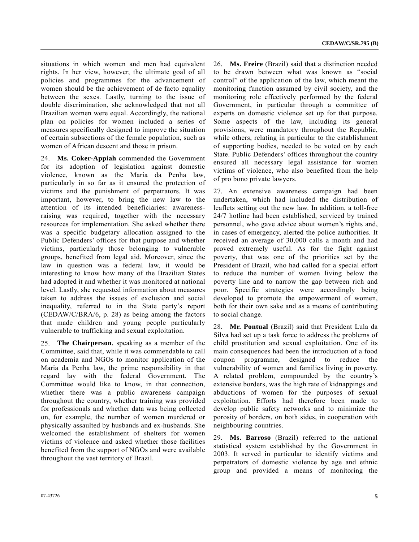situations in which women and men had equivalent rights. In her view, however, the ultimate goal of all policies and programmes for the advancement of women should be the achievement of de facto equality between the sexes. Lastly, turning to the issue of double discrimination, she acknowledged that not all Brazilian women were equal. Accordingly, the national plan on policies for women included a series of measures specifically designed to improve the situation of certain subsections of the female population, such as women of African descent and those in prison.

24. **Ms. Coker-Appiah** commended the Government for its adoption of legislation against domestic violence, known as the Maria da Penha law, particularly in so far as it ensured the protection of victims and the punishment of perpetrators. It was important, however, to bring the new law to the attention of its intended beneficiaries: awarenessraising was required, together with the necessary resources for implementation. She asked whether there was a specific budgetary allocation assigned to the Public Defenders' offices for that purpose and whether victims, particularly those belonging to vulnerable groups, benefited from legal aid. Moreover, since the law in question was a federal law, it would be interesting to know how many of the Brazilian States had adopted it and whether it was monitored at national level. Lastly, she requested information about measures taken to address the issues of exclusion and social inequality, referred to in the State party's report (CEDAW/C/BRA/6, p. 28) as being among the factors that made children and young people particularly vulnerable to trafficking and sexual exploitation.

25. **The Chairperson**, speaking as a member of the Committee, said that, while it was commendable to call on academia and NGOs to monitor application of the Maria da Penha law, the prime responsibility in that regard lay with the federal Government. The Committee would like to know, in that connection, whether there was a public awareness campaign throughout the country, whether training was provided for professionals and whether data was being collected on, for example, the number of women murdered or physically assaulted by husbands and ex-husbands. She welcomed the establishment of shelters for women victims of violence and asked whether those facilities benefited from the support of NGOs and were available throughout the vast territory of Brazil.

26. **Ms. Freire** (Brazil) said that a distinction needed to be drawn between what was known as "social control" of the application of the law, which meant the monitoring function assumed by civil society, and the monitoring role effectively performed by the federal Government, in particular through a committee of experts on domestic violence set up for that purpose. Some aspects of the law, including its general provisions, were mandatory throughout the Republic, while others, relating in particular to the establishment of supporting bodies, needed to be voted on by each State. Public Defenders' offices throughout the country ensured all necessary legal assistance for women victims of violence, who also benefited from the help of pro bono private lawyers.

27. An extensive awareness campaign had been undertaken, which had included the distribution of leaflets setting out the new law. In addition, a toll-free 24/7 hotline had been established, serviced by trained personnel, who gave advice about women's rights and, in cases of emergency, alerted the police authorities. It received an average of 30,000 calls a month and had proved extremely useful. As for the fight against poverty, that was one of the priorities set by the President of Brazil, who had called for a special effort to reduce the number of women living below the poverty line and to narrow the gap between rich and poor. Specific strategies were accordingly being developed to promote the empowerment of women, both for their own sake and as a means of contributing to social change.

28. **Mr. Pontual** (Brazil) said that President Lula da Silva had set up a task force to address the problems of child prostitution and sexual exploitation. One of its main consequences had been the introduction of a food coupon programme, designed to reduce the vulnerability of women and families living in poverty. A related problem, compounded by the country's extensive borders, was the high rate of kidnappings and abductions of women for the purposes of sexual exploitation. Efforts had therefore been made to develop public safety networks and to minimize the porosity of borders, on both sides, in cooperation with neighbouring countries.

29. **Ms. Barroso** (Brazil) referred to the national statistical system established by the Government in 2003. It served in particular to identify victims and perpetrators of domestic violence by age and ethnic group and provided a means of monitoring the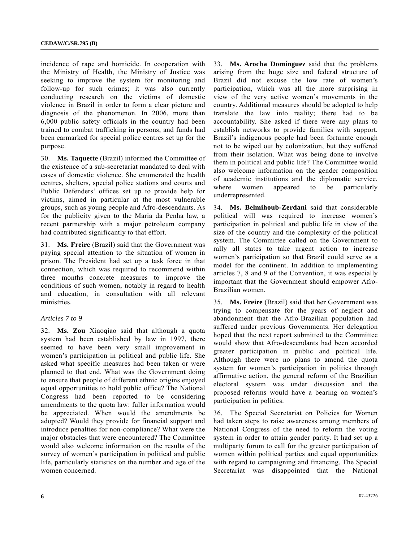incidence of rape and homicide. In cooperation with the Ministry of Health, the Ministry of Justice was seeking to improve the system for monitoring and follow-up for such crimes; it was also currently conducting research on the victims of domestic violence in Brazil in order to form a clear picture and diagnosis of the phenomenon. In 2006, more than 6,000 public safety officials in the country had been trained to combat trafficking in persons, and funds had been earmarked for special police centres set up for the purpose.

30. **Ms. Taquette** (Brazil) informed the Committee of the existence of a sub-secretariat mandated to deal with cases of domestic violence. She enumerated the health centres, shelters, special police stations and courts and Public Defenders' offices set up to provide help for victims, aimed in particular at the most vulnerable groups, such as young people and Afro-descendants. As for the publicity given to the Maria da Penha law, a recent partnership with a major petroleum company had contributed significantly to that effort.

31. **Ms. Freire** (Brazil) said that the Government was paying special attention to the situation of women in prison. The President had set up a task force in that connection, which was required to recommend within three months concrete measures to improve the conditions of such women, notably in regard to health and education, in consultation with all relevant ministries.

### *Articles 7 to 9*

32. **Ms. Zou** Xiaoqiao said that although a quota system had been established by law in 1997, there seemed to have been very small improvement in women's participation in political and public life. She asked what specific measures had been taken or were planned to that end. What was the Government doing to ensure that people of different ethnic origins enjoyed equal opportunities to hold public office? The National Congress had been reported to be considering amendments to the quota law: fuller information would be appreciated. When would the amendments be adopted? Would they provide for financial support and introduce penalties for non-compliance? What were the major obstacles that were encountered? The Committee would also welcome information on the results of the survey of women's participation in political and public life, particularly statistics on the number and age of the women concerned.

33. **Ms. Arocha Domínguez** said that the problems arising from the huge size and federal structure of Brazil did not excuse the low rate of women's participation, which was all the more surprising in view of the very active women's movements in the country. Additional measures should be adopted to help translate the law into reality; there had to be accountability. She asked if there were any plans to establish networks to provide families with support. Brazil's indigenous people had been fortunate enough not to be wiped out by colonization, but they suffered from their isolation. What was being done to involve them in political and public life? The Committee would also welcome information on the gender composition of academic institutions and the diplomatic service, where women appeared to be particularly underrepresented.

34. **Ms. Belmihoub-Zerdani** said that considerable political will was required to increase women's participation in political and public life in view of the size of the country and the complexity of the political system. The Committee called on the Government to rally all states to take urgent action to increase women's participation so that Brazil could serve as a model for the continent. In addition to implementing articles 7, 8 and 9 of the Convention, it was especially important that the Government should empower Afro-Brazilian women.

35. **Ms. Freire** (Brazil) said that her Government was trying to compensate for the years of neglect and abandonment that the Afro-Brazilian population had suffered under previous Governments. Her delegation hoped that the next report submitted to the Committee would show that Afro-descendants had been accorded greater participation in public and political life. Although there were no plans to amend the quota system for women's participation in politics through affirmative action, the general reform of the Brazilian electoral system was under discussion and the proposed reforms would have a bearing on women's participation in politics.

36. The Special Secretariat on Policies for Women had taken steps to raise awareness among members of National Congress of the need to reform the voting system in order to attain gender parity. It had set up a multiparty forum to call for the greater participation of women within political parties and equal opportunities with regard to campaigning and financing. The Special Secretariat was disappointed that the National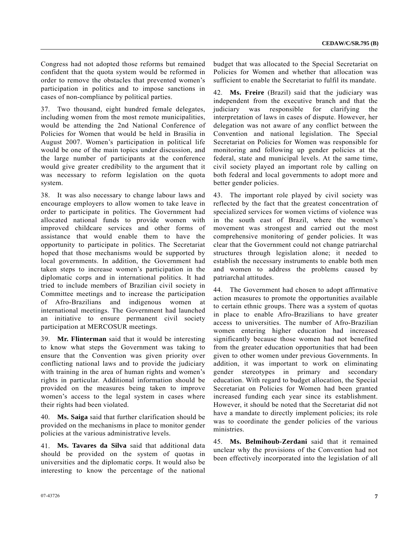Congress had not adopted those reforms but remained confident that the quota system would be reformed in order to remove the obstacles that prevented women's participation in politics and to impose sanctions in cases of non-compliance by political parties.

37. Two thousand, eight hundred female delegates, including women from the most remote municipalities, would be attending the 2nd National Conference of Policies for Women that would be held in Brasilia in August 2007. Women's participation in political life would be one of the main topics under discussion, and the large number of participants at the conference would give greater credibility to the argument that it was necessary to reform legislation on the quota system.

38. It was also necessary to change labour laws and encourage employers to allow women to take leave in order to participate in politics. The Government had allocated national funds to provide women with improved childcare services and other forms of assistance that would enable them to have the opportunity to participate in politics. The Secretariat hoped that those mechanisms would be supported by local governments. In addition, the Government had taken steps to increase women's participation in the diplomatic corps and in international politics. It had tried to include members of Brazilian civil society in Committee meetings and to increase the participation of Afro-Brazilians and indigenous women at international meetings. The Government had launched an initiative to ensure permanent civil society participation at MERCOSUR meetings.

39. **Mr. Flinterman** said that it would be interesting to know what steps the Government was taking to ensure that the Convention was given priority over conflicting national laws and to provide the judiciary with training in the area of human rights and women's rights in particular. Additional information should be provided on the measures being taken to improve women's access to the legal system in cases where their rights had been violated.

40. **Ms. Saiga** said that further clarification should be provided on the mechanisms in place to monitor gender policies at the various administrative levels.

41. **Ms. Tavares da Silva** said that additional data should be provided on the system of quotas in universities and the diplomatic corps. It would also be interesting to know the percentage of the national budget that was allocated to the Special Secretariat on Policies for Women and whether that allocation was sufficient to enable the Secretariat to fulfil its mandate.

42. **Ms. Freire** (Brazil) said that the judiciary was independent from the executive branch and that the judiciary was responsible for clarifying the interpretation of laws in cases of dispute. However, her delegation was not aware of any conflict between the Convention and national legislation. The Special Secretariat on Policies for Women was responsible for monitoring and following up gender policies at the federal, state and municipal levels. At the same time, civil society played an important role by calling on both federal and local governments to adopt more and better gender policies.

43. The important role played by civil society was reflected by the fact that the greatest concentration of specialized services for women victims of violence was in the south east of Brazil, where the women's movement was strongest and carried out the most comprehensive monitoring of gender policies. It was clear that the Government could not change patriarchal structures through legislation alone; it needed to establish the necessary instruments to enable both men and women to address the problems caused by patriarchal attitudes.

44. The Government had chosen to adopt affirmative action measures to promote the opportunities available to certain ethnic groups. There was a system of quotas in place to enable Afro-Brazilians to have greater access to universities. The number of Afro-Brazilian women entering higher education had increased significantly because those women had not benefited from the greater education opportunities that had been given to other women under previous Governments. In addition, it was important to work on eliminating gender stereotypes in primary and secondary education. With regard to budget allocation, the Special Secretariat on Policies for Women had been granted increased funding each year since its establishment. However, it should be noted that the Secretariat did not have a mandate to directly implement policies; its role was to coordinate the gender policies of the various ministries.

45. **Ms. Belmihoub-Zerdani** said that it remained unclear why the provisions of the Convention had not been effectively incorporated into the legislation of all